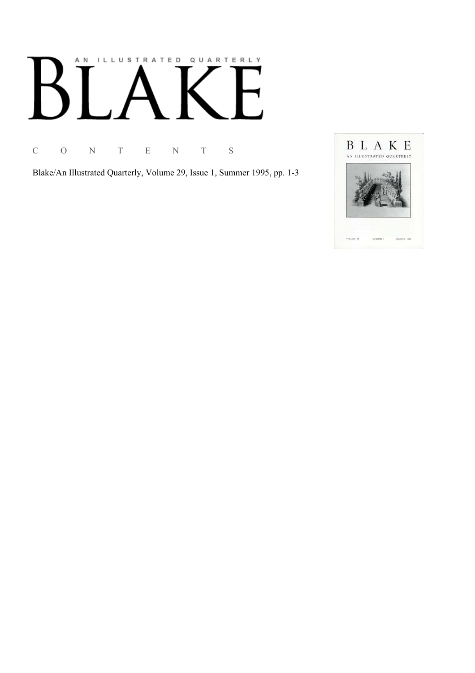# AN ILLUSTRATED QUARTERLY

C O N T E N T S

Blake/An Illustrated Quarterly, Volume 29, Issue 1, Summer 1995, pp. 1-3

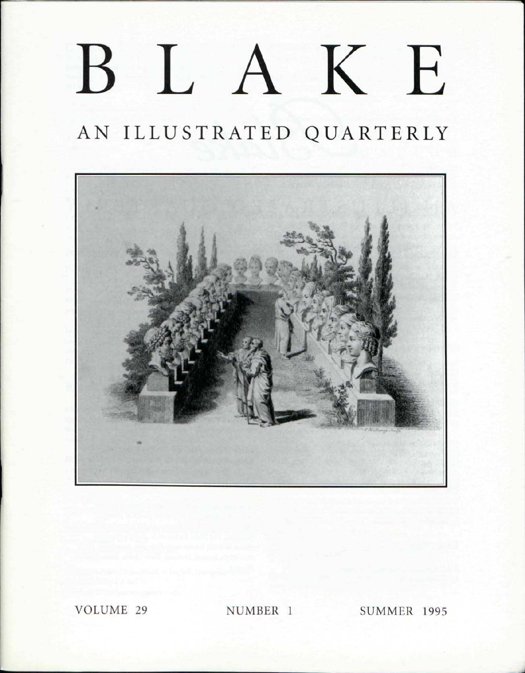## BLAKE

## AN ILLUSTRATED QUARTERLY



VOLUME 29 NUMBER 1 SUMMER 1995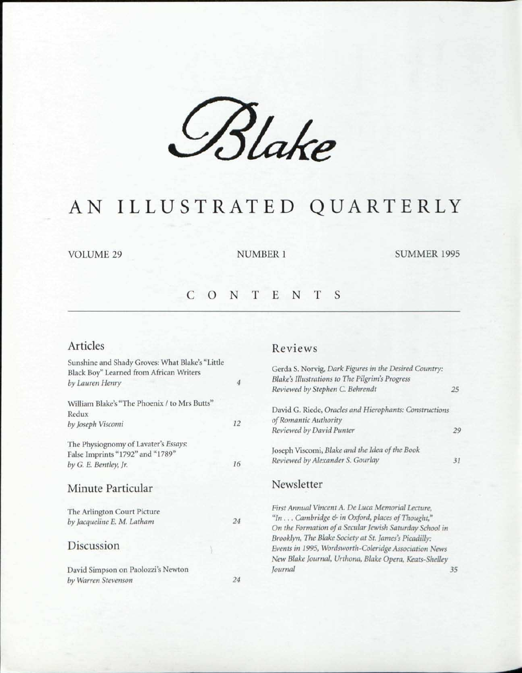*£%Ue* 

### AN ILLUSTRATED QUARTERLY

VOLUME 29 NUMBER 1 SUMMER 1995

#### CONTENT S

#### Articles

| Sunshine and Shady Groves: What Blake's "Little |                  |
|-------------------------------------------------|------------------|
| Black Boy" Learned from African Writers         |                  |
| by Lauren Henry                                 | $\boldsymbol{4}$ |
| William Blake's "The Phoenix / to Mrs Butts"    |                  |
| Redux                                           |                  |
| by Joseph Viscomi                               | 12               |
| The Physiognomy of Lavater's Essays:            |                  |
| False Imprints "1792" and "1789"                |                  |
| by G. E. Bentley, Jr.                           | 16               |
| Minute Particular                               |                  |
| The Arlington Court Picture                     |                  |
| by Jacqueline E. M. Latham                      | 24               |
| Discussion                                      |                  |
| David Simpson on Paolozzi's Newton              |                  |
|                                                 | 24               |
| by Warren Stevenson                             |                  |

#### Reviews

| Gerda S. Norvig, Dark Figures in the Desired Country:<br>Blake's Illustrations to The Pilgrim's Progress |    |
|----------------------------------------------------------------------------------------------------------|----|
| Reviewed by Stephen C. Behrendt                                                                          | 25 |
| David G. Riede, Oracles and Hierophants: Constructions<br>of Romantic Authority                          |    |
| Reviewed by David Punter                                                                                 | 29 |
| Joseph Viscomi, Blake and the Idea of the Book                                                           |    |
| Reviewed by Alexander S. Gourlay                                                                         | 31 |
| Newsletter                                                                                               |    |
| First Annual Vincent A. De Luca Memorial Lecture,                                                        |    |
| "In  Cambridge & in Oxford, places of Thought,"                                                          |    |
| On the Formation of a Secular Jewish Saturday School in                                                  |    |
| Brooklyn, The Blake Society at St. James's Picadilly:                                                    |    |
| Events in 1995, Wordsworth-Coleridge Association News                                                    |    |
| New Blake Journal, Urthona, Blake Opera, Keats-Shelley                                                   |    |
| Journal                                                                                                  | 35 |